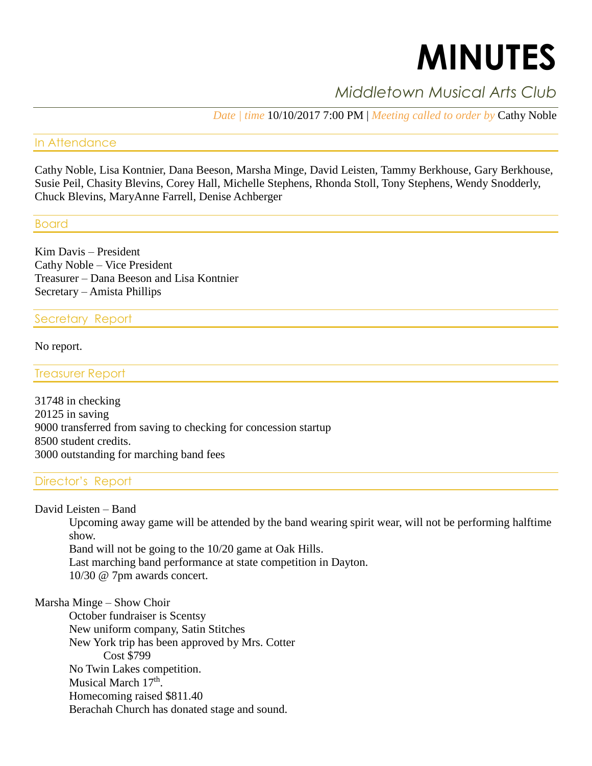# **MINUTES**

# *Middletown Musical Arts Club*

*Date | time* 10/10/2017 7:00 PM | *Meeting called to order by* Cathy Noble

# In Attendance

Cathy Noble, Lisa Kontnier, Dana Beeson, Marsha Minge, David Leisten, Tammy Berkhouse, Gary Berkhouse, Susie Peil, Chasity Blevins, Corey Hall, Michelle Stephens, Rhonda Stoll, Tony Stephens, Wendy Snodderly, Chuck Blevins, MaryAnne Farrell, Denise Achberger

# Board

Kim Davis – President Cathy Noble – Vice President Treasurer – Dana Beeson and Lisa Kontnier Secretary – Amista Phillips

# Secretary Report

No report.

Treasurer Report

 in checking in saving transferred from saving to checking for concession startup 8500 student credits. outstanding for marching band fees

# Director's Report

David Leisten – Band

Upcoming away game will be attended by the band wearing spirit wear, will not be performing halftime show.

Band will not be going to the 10/20 game at Oak Hills. Last marching band performance at state competition in Dayton. 10/30 @ 7pm awards concert.

## Marsha Minge – Show Choir

October fundraiser is Scentsy New uniform company, Satin Stitches New York trip has been approved by Mrs. Cotter Cost \$799 No Twin Lakes competition. Musical March 17<sup>th</sup>. Homecoming raised \$811.40 Berachah Church has donated stage and sound.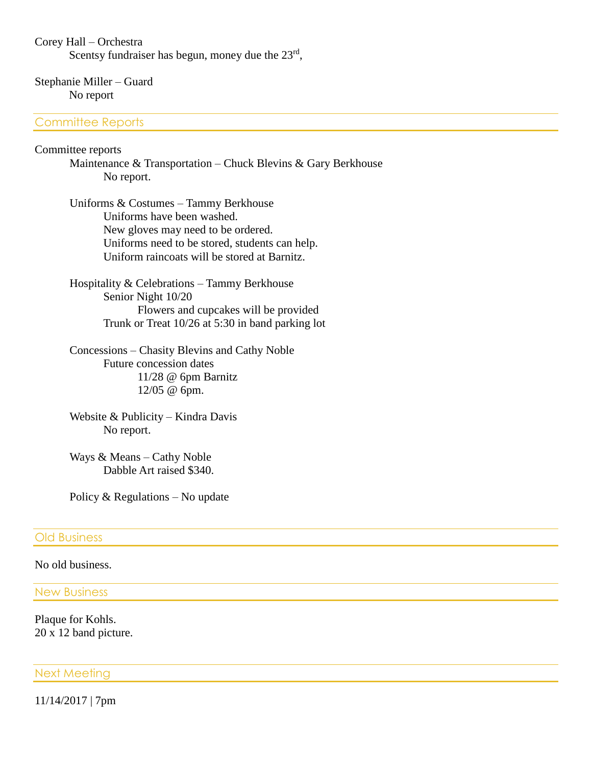#### Corey Hall – Orchestra

Scentsy fundraiser has begun, money due the  $23<sup>rd</sup>$ ,

### Stephanie Miller – Guard No report

## Committee Reports

#### Committee reports

Maintenance & Transportation – Chuck Blevins & Gary Berkhouse No report.

Uniforms & Costumes – Tammy Berkhouse Uniforms have been washed. New gloves may need to be ordered. Uniforms need to be stored, students can help. Uniform raincoats will be stored at Barnitz.

Hospitality & Celebrations – Tammy Berkhouse Senior Night 10/20 Flowers and cupcakes will be provided Trunk or Treat 10/26 at 5:30 in band parking lot

Concessions – Chasity Blevins and Cathy Noble Future concession dates 11/28 @ 6pm Barnitz 12/05 @ 6pm.

Website & Publicity – Kindra Davis No report.

Ways & Means – Cathy Noble Dabble Art raised \$340.

Policy & Regulations – No update

#### Old Business

#### No old business.

#### New Business

Plaque for Kohls. 20 x 12 band picture.

#### Next Meeting

11/14/2017 | 7pm